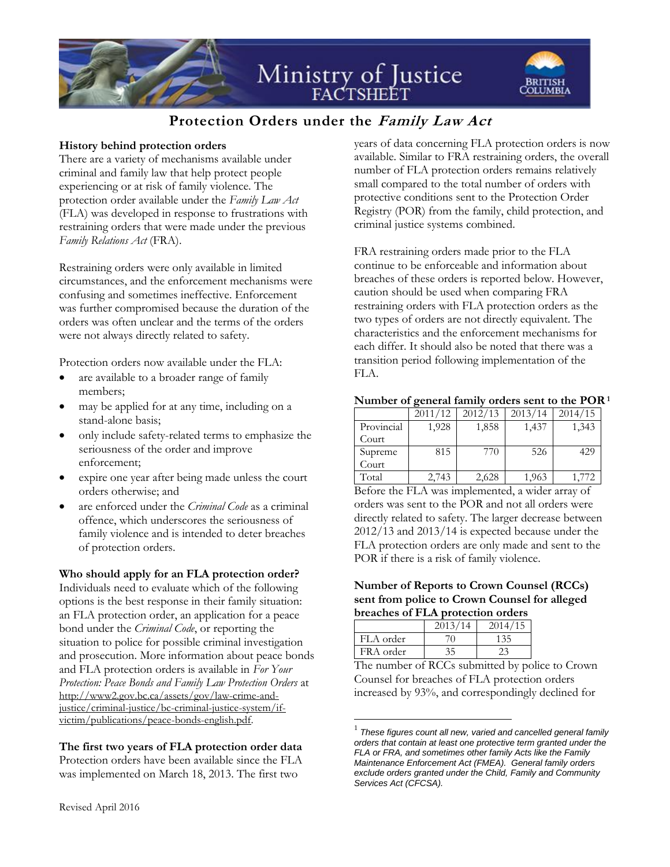

# **Protection Orders under the Family Law Act**

## **History behind protection orders**

There are a variety of mechanisms available under criminal and family law that help protect people experiencing or at risk of family violence. The protection order available under the *Family Law Act*  (FLA) was developed in response to frustrations with restraining orders that were made under the previous *Family Relations Act* (FRA).

Restraining orders were only available in limited circumstances, and the enforcement mechanisms were confusing and sometimes ineffective. Enforcement was further compromised because the duration of the orders was often unclear and the terms of the orders were not always directly related to safety.

Protection orders now available under the FLA:

- are available to a broader range of family members;
- may be applied for at any time, including on a stand-alone basis;
- only include safety-related terms to emphasize the seriousness of the order and improve enforcement;
- expire one year after being made unless the court orders otherwise; and
- are enforced under the *Criminal Code* as a criminal offence, which underscores the seriousness of family violence and is intended to deter breaches of protection orders.

#### **Who should apply for an FLA protection order?**

Individuals need to evaluate which of the following options is the best response in their family situation: an FLA protection order, an application for a peace bond under the *Criminal Code*, or reporting the situation to police for possible criminal investigation and prosecution. More information about peace bonds and FLA protection orders is available in *For Your Protection: Peace Bonds and Family Law Protection Orders* at [http://www2.gov.bc.ca/assets/gov/law-crime-and](http://www2.gov.bc.ca/assets/gov/law-crime-and-justice/criminal-justice/bc-criminal-justice-system/if-victim/publications/peace-bonds-english.pdf)[justice/criminal-justice/bc-criminal-justice-system/if](http://www2.gov.bc.ca/assets/gov/law-crime-and-justice/criminal-justice/bc-criminal-justice-system/if-victim/publications/peace-bonds-english.pdf)[victim/publications/peace-bonds-english.pdf.](http://www2.gov.bc.ca/assets/gov/law-crime-and-justice/criminal-justice/bc-criminal-justice-system/if-victim/publications/peace-bonds-english.pdf) 

# **The first two years of FLA protection order data**

Protection orders have been available since the FLA was implemented on March 18, 2013. The first two

years of data concerning FLA protection orders is now available. Similar to FRA restraining orders, the overall number of FLA protection orders remains relatively small compared to the total number of orders with protective conditions sent to the Protection Order Registry (POR) from the family, child protection, and criminal justice systems combined.

FRA restraining orders made prior to the FLA continue to be enforceable and information about breaches of these orders is reported below. However, caution should be used when comparing FRA restraining orders with FLA protection orders as the two types of orders are not directly equivalent. The characteristics and the enforcement mechanisms for each differ. It should also be noted that there was a transition period following implementation of the FLA.

#### **Number of general family orders sent to the POR<sup>1</sup>**

|            | 2011/12 | 2012/13 | 2013/14 | 2014/15 |
|------------|---------|---------|---------|---------|
| Provincial | 1,928   | 1,858   | 1,437   | 1,343   |
| Court      |         |         |         |         |
| Supreme    | 815     | 770     | 526     | 429     |
| Court      |         |         |         |         |
| Total      | 2,743   | 2,628   | 1,963   |         |

Before the FLA was implemented, a wider array of orders was sent to the POR and not all orders were directly related to safety. The larger decrease between 2012/13 and 2013/14 is expected because under the FLA protection orders are only made and sent to the POR if there is a risk of family violence.

#### **Number of Reports to Crown Counsel (RCCs) sent from police to Crown Counsel for alleged breaches of FLA protection orders**

|                          | 2013/14 | 2014/15 |
|--------------------------|---------|---------|
| FLA order                |         | 135     |
| FRA order                |         | 23      |
| $\overline{\phantom{a}}$ |         |         |

 $\overline{a}$ 

The number of RCCs submitted by police to Crown Counsel for breaches of FLA protection orders increased by 93%, and correspondingly declined for

<sup>1</sup> *These figures count all new, varied and cancelled general family orders that contain at least one protective term granted under the FLA or FRA, and sometimes other family Acts like the Family Maintenance Enforcement Act (FMEA). General family orders exclude orders granted under the Child, Family and Community Services Act (CFCSA).*